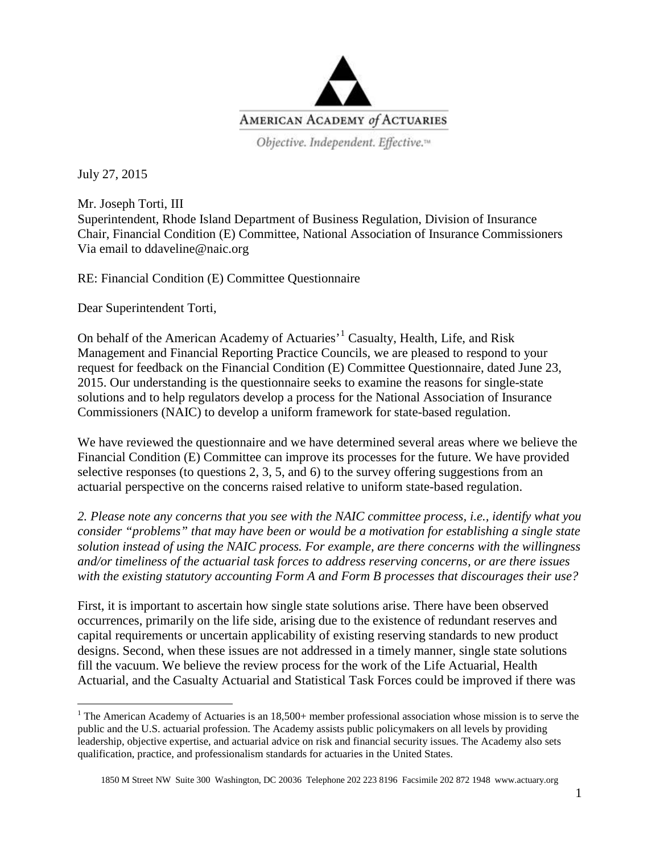

Objective. Independent. Effective.<sup>14</sup>

July 27, 2015

Mr. Joseph Torti, III Superintendent, Rhode Island Department of Business Regulation, Division of Insurance Chair, Financial Condition (E) Committee, National Association of Insurance Commissioners Via email to ddaveline@naic.org

RE: Financial Condition (E) Committee Questionnaire

Dear Superintendent Torti,

On behalf of the American Academy of Actuaries'[1](#page-0-0) Casualty, Health, Life, and Risk Management and Financial Reporting Practice Councils, we are pleased to respond to your request for feedback on the Financial Condition (E) Committee Questionnaire, dated June 23, 2015. Our understanding is the questionnaire seeks to examine the reasons for single-state solutions and to help regulators develop a process for the National Association of Insurance Commissioners (NAIC) to develop a uniform framework for state-based regulation.

We have reviewed the questionnaire and we have determined several areas where we believe the Financial Condition (E) Committee can improve its processes for the future. We have provided selective responses (to questions 2, 3, 5, and 6) to the survey offering suggestions from an actuarial perspective on the concerns raised relative to uniform state-based regulation.

*2. Please note any concerns that you see with the NAIC committee process, i.e., identify what you consider "problems" that may have been or would be a motivation for establishing a single state solution instead of using the NAIC process. For example, are there concerns with the willingness and/or timeliness of the actuarial task forces to address reserving concerns, or are there issues with the existing statutory accounting Form A and Form B processes that discourages their use?*

First, it is important to ascertain how single state solutions arise. There have been observed occurrences, primarily on the life side, arising due to the existence of redundant reserves and capital requirements or uncertain applicability of existing reserving standards to new product designs. Second, when these issues are not addressed in a timely manner, single state solutions fill the vacuum. We believe the review process for the work of the Life Actuarial, Health Actuarial, and the Casualty Actuarial and Statistical Task Forces could be improved if there was

<span id="page-0-0"></span><sup>&</sup>lt;sup>1</sup> The American Academy of Actuaries is an  $18,500+$  member professional association whose mission is to serve the public and the U.S. actuarial profession. The Academy assists public policymakers on all levels by providing leadership, objective expertise, and actuarial advice on risk and financial security issues. The Academy also sets qualification, practice, and professionalism standards for actuaries in the United States.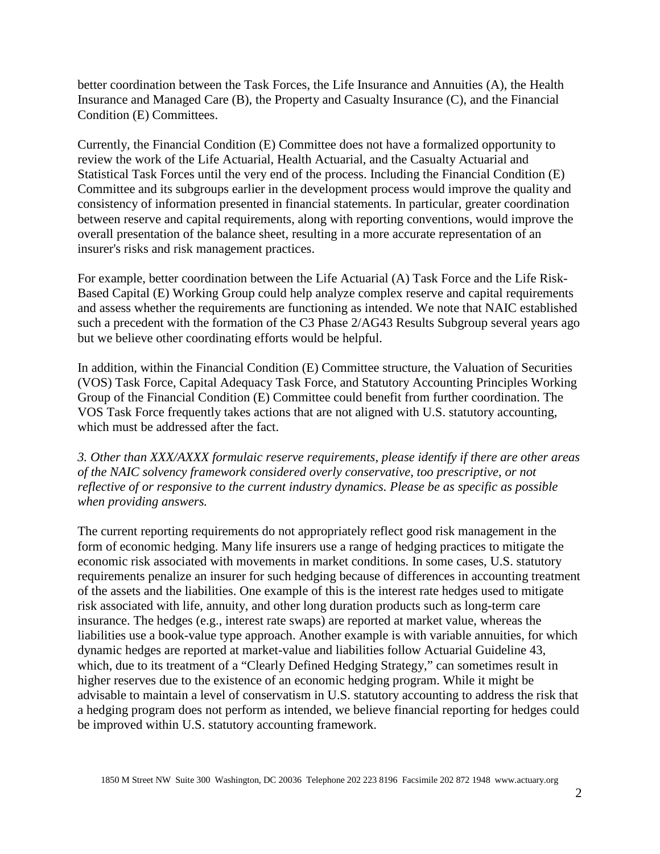better coordination between the Task Forces, the Life Insurance and Annuities (A), the Health Insurance and Managed Care (B), the Property and Casualty Insurance (C), and the Financial Condition (E) Committees.

Currently, the Financial Condition (E) Committee does not have a formalized opportunity to review the work of the Life Actuarial, Health Actuarial, and the Casualty Actuarial and Statistical Task Forces until the very end of the process. Including the Financial Condition (E) Committee and its subgroups earlier in the development process would improve the quality and consistency of information presented in financial statements. In particular, greater coordination between reserve and capital requirements, along with reporting conventions, would improve the overall presentation of the balance sheet, resulting in a more accurate representation of an insurer's risks and risk management practices.

For example, better coordination between the Life Actuarial (A) Task Force and the Life Risk-Based Capital (E) Working Group could help analyze complex reserve and capital requirements and assess whether the requirements are functioning as intended. We note that NAIC established such a precedent with the formation of the C3 Phase 2/AG43 Results Subgroup several years ago but we believe other coordinating efforts would be helpful.

In addition, within the Financial Condition (E) Committee structure, the Valuation of Securities (VOS) Task Force, Capital Adequacy Task Force, and Statutory Accounting Principles Working Group of the Financial Condition (E) Committee could benefit from further coordination. The VOS Task Force frequently takes actions that are not aligned with U.S. statutory accounting, which must be addressed after the fact.

*3. Other than XXX/AXXX formulaic reserve requirements, please identify if there are other areas of the NAIC solvency framework considered overly conservative, too prescriptive, or not reflective of or responsive to the current industry dynamics. Please be as specific as possible when providing answers.*

The current reporting requirements do not appropriately reflect good risk management in the form of economic hedging. Many life insurers use a range of hedging practices to mitigate the economic risk associated with movements in market conditions. In some cases, U.S. statutory requirements penalize an insurer for such hedging because of differences in accounting treatment of the assets and the liabilities. One example of this is the interest rate hedges used to mitigate risk associated with life, annuity, and other long duration products such as long-term care insurance. The hedges (e.g., interest rate swaps) are reported at market value, whereas the liabilities use a book-value type approach. Another example is with variable annuities, for which dynamic hedges are reported at market-value and liabilities follow Actuarial Guideline 43, which, due to its treatment of a "Clearly Defined Hedging Strategy," can sometimes result in higher reserves due to the existence of an economic hedging program. While it might be advisable to maintain a level of conservatism in U.S. statutory accounting to address the risk that a hedging program does not perform as intended, we believe financial reporting for hedges could be improved within U.S. statutory accounting framework.